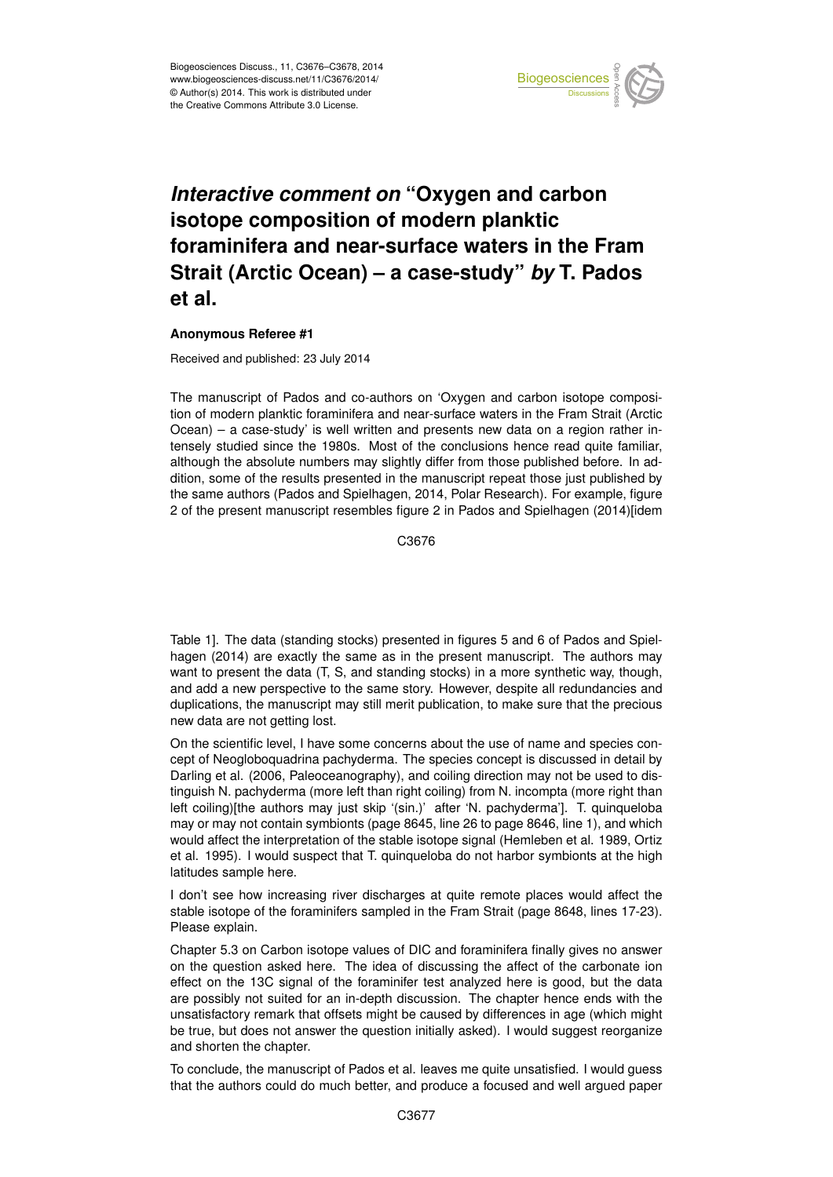

## *Interactive comment on* **"Oxygen and carbon isotope composition of modern planktic foraminifera and near-surface waters in the Fram Strait (Arctic Ocean) – a case-study"** *by* **T. Pados et al.**

## **Anonymous Referee #1**

Received and published: 23 July 2014

The manuscript of Pados and co-authors on 'Oxygen and carbon isotope composition of modern planktic foraminifera and near-surface waters in the Fram Strait (Arctic Ocean) – a case-study' is well written and presents new data on a region rather intensely studied since the 1980s. Most of the conclusions hence read quite familiar, although the absolute numbers may slightly differ from those published before. In addition, some of the results presented in the manuscript repeat those just published by the same authors (Pados and Spielhagen, 2014, Polar Research). For example, figure 2 of the present manuscript resembles figure 2 in Pados and Spielhagen (2014)[idem

C3676

Table 1]. The data (standing stocks) presented in figures 5 and 6 of Pados and Spielhagen (2014) are exactly the same as in the present manuscript. The authors may want to present the data (T, S, and standing stocks) in a more synthetic way, though, and add a new perspective to the same story. However, despite all redundancies and duplications, the manuscript may still merit publication, to make sure that the precious new data are not getting lost.

On the scientific level, I have some concerns about the use of name and species concept of Neogloboquadrina pachyderma. The species concept is discussed in detail by Darling et al. (2006, Paleoceanography), and coiling direction may not be used to distinguish N. pachyderma (more left than right coiling) from N. incompta (more right than left coiling)[the authors may just skip '(sin.)' after 'N. pachyderma']. T. quinqueloba may or may not contain symbionts (page 8645, line 26 to page 8646, line 1), and which would affect the interpretation of the stable isotope signal (Hemleben et al. 1989, Ortiz et al. 1995). I would suspect that T. quinqueloba do not harbor symbionts at the high latitudes sample here.

I don't see how increasing river discharges at quite remote places would affect the stable isotope of the foraminifers sampled in the Fram Strait (page 8648, lines 17-23). Please explain.

Chapter 5.3 on Carbon isotope values of DIC and foraminifera finally gives no answer on the question asked here. The idea of discussing the affect of the carbonate ion effect on the 13C signal of the foraminifer test analyzed here is good, but the data are possibly not suited for an in-depth discussion. The chapter hence ends with the unsatisfactory remark that offsets might be caused by differences in age (which might be true, but does not answer the question initially asked). I would suggest reorganize and shorten the chapter.

To conclude, the manuscript of Pados et al. leaves me quite unsatisfied. I would guess that the authors could do much better, and produce a focused and well argued paper